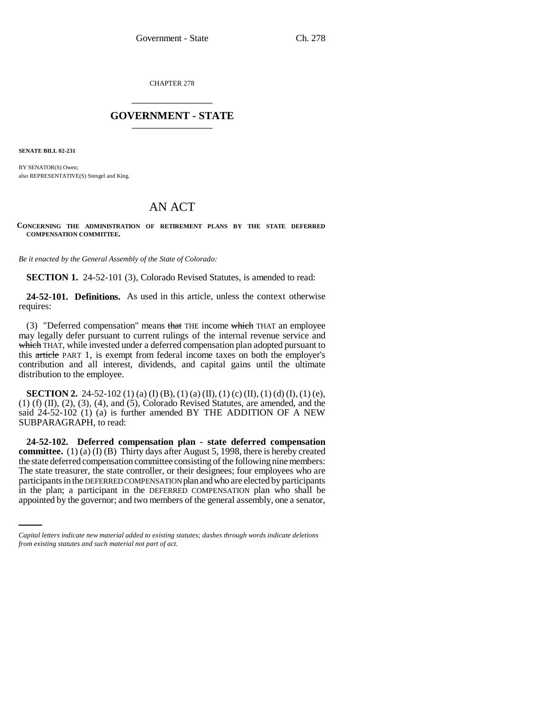CHAPTER 278 \_\_\_\_\_\_\_\_\_\_\_\_\_\_\_

## **GOVERNMENT - STATE** \_\_\_\_\_\_\_\_\_\_\_\_\_\_\_

**SENATE BILL 02-231**

BY SENATOR(S) Owen; also REPRESENTATIVE(S) Stengel and King.

# AN ACT

**CONCERNING THE ADMINISTRATION OF RETIREMENT PLANS BY THE STATE DEFERRED COMPENSATION COMMITTEE.**

*Be it enacted by the General Assembly of the State of Colorado:*

**SECTION 1.** 24-52-101 (3), Colorado Revised Statutes, is amended to read:

**24-52-101. Definitions.** As used in this article, unless the context otherwise requires:

(3) "Deferred compensation" means that THE income which THAT an employee may legally defer pursuant to current rulings of the internal revenue service and which THAT, while invested under a deferred compensation plan adopted pursuant to this article PART 1, is exempt from federal income taxes on both the employer's contribution and all interest, dividends, and capital gains until the ultimate distribution to the employee.

**SECTION 2.** 24-52-102 (1) (a) (I) (B), (1) (a) (II), (1) (c) (II), (1) (d) (I), (1) (e), (1) (f) (II), (2), (3), (4), and (5), Colorado Revised Statutes, are amended, and the said 24-52-102 (1) (a) is further amended BY THE ADDITION OF A NEW SUBPARAGRAPH, to read:

participants in the DEFERRED COMPENSATION plan and who are elected by participants **24-52-102. Deferred compensation plan - state deferred compensation committee.** (1) (a) (I) (B) Thirty days after August 5, 1998, there is hereby created the state deferred compensation committee consisting of the following nine members: The state treasurer, the state controller, or their designees; four employees who are in the plan; a participant in the DEFERRED COMPENSATION plan who shall be appointed by the governor; and two members of the general assembly, one a senator,

*Capital letters indicate new material added to existing statutes; dashes through words indicate deletions from existing statutes and such material not part of act.*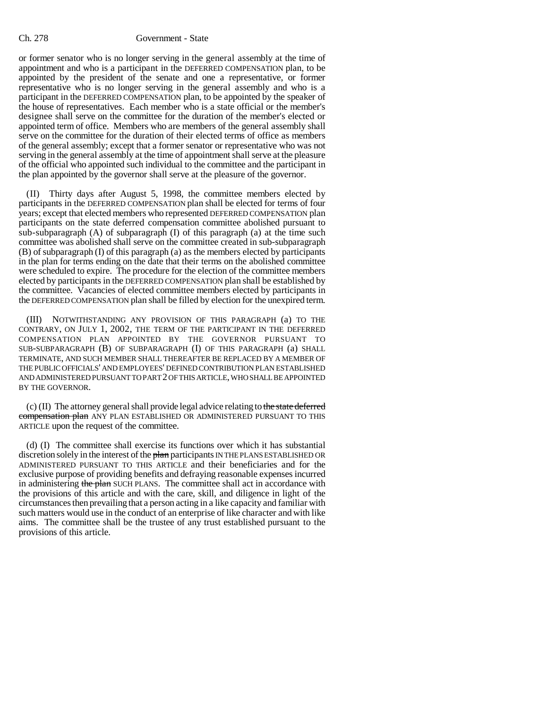#### Ch. 278 Government - State

or former senator who is no longer serving in the general assembly at the time of appointment and who is a participant in the DEFERRED COMPENSATION plan, to be appointed by the president of the senate and one a representative, or former representative who is no longer serving in the general assembly and who is a participant in the DEFERRED COMPENSATION plan, to be appointed by the speaker of the house of representatives. Each member who is a state official or the member's designee shall serve on the committee for the duration of the member's elected or appointed term of office. Members who are members of the general assembly shall serve on the committee for the duration of their elected terms of office as members of the general assembly; except that a former senator or representative who was not serving in the general assembly at the time of appointment shall serve at the pleasure of the official who appointed such individual to the committee and the participant in the plan appointed by the governor shall serve at the pleasure of the governor.

(II) Thirty days after August 5, 1998, the committee members elected by participants in the DEFERRED COMPENSATION plan shall be elected for terms of four years; except that elected members who represented DEFERRED COMPENSATION plan participants on the state deferred compensation committee abolished pursuant to sub-subparagraph (A) of subparagraph (I) of this paragraph (a) at the time such committee was abolished shall serve on the committee created in sub-subparagraph (B) of subparagraph (I) of this paragraph (a) as the members elected by participants in the plan for terms ending on the date that their terms on the abolished committee were scheduled to expire. The procedure for the election of the committee members elected by participants in the DEFERRED COMPENSATION plan shall be established by the committee. Vacancies of elected committee members elected by participants in the DEFERRED COMPENSATION plan shall be filled by election for the unexpired term.

(III) NOTWITHSTANDING ANY PROVISION OF THIS PARAGRAPH (a) TO THE CONTRARY, ON JULY 1, 2002, THE TERM OF THE PARTICIPANT IN THE DEFERRED COMPENSATION PLAN APPOINTED BY THE GOVERNOR PURSUANT TO SUB-SUBPARAGRAPH (B) OF SUBPARAGRAPH (I) OF THIS PARAGRAPH (a) SHALL TERMINATE, AND SUCH MEMBER SHALL THEREAFTER BE REPLACED BY A MEMBER OF THE PUBLIC OFFICIALS' AND EMPLOYEES' DEFINED CONTRIBUTION PLAN ESTABLISHED AND ADMINISTERED PURSUANT TO PART 2 OF THIS ARTICLE, WHO SHALL BE APPOINTED BY THE GOVERNOR.

(c) (II) The attorney general shall provide legal advice relating to the state deferred compensation plan ANY PLAN ESTABLISHED OR ADMINISTERED PURSUANT TO THIS ARTICLE upon the request of the committee.

(d) (I) The committee shall exercise its functions over which it has substantial discretion solely in the interest of the plan participants IN THE PLANS ESTABLISHED OR ADMINISTERED PURSUANT TO THIS ARTICLE and their beneficiaries and for the exclusive purpose of providing benefits and defraying reasonable expenses incurred in administering the plan SUCH PLANS. The committee shall act in accordance with the provisions of this article and with the care, skill, and diligence in light of the circumstances then prevailing that a person acting in a like capacity and familiar with such matters would use in the conduct of an enterprise of like character and with like aims. The committee shall be the trustee of any trust established pursuant to the provisions of this article.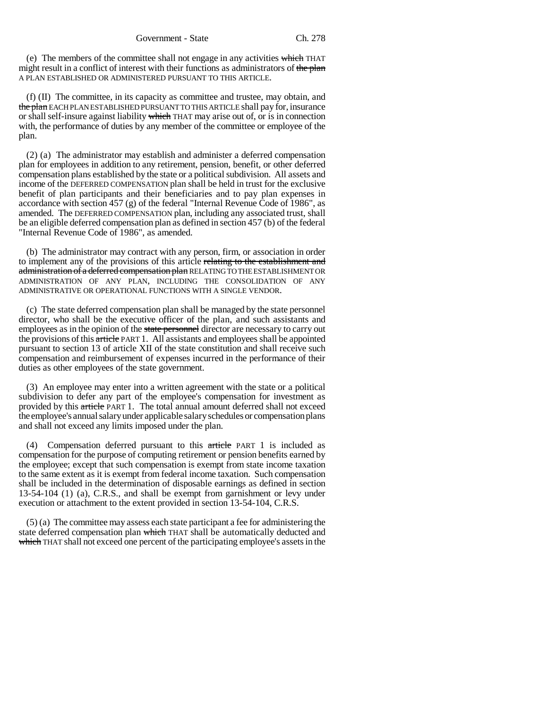(e) The members of the committee shall not engage in any activities  $\frac{1}{\sqrt{1+\frac{1}{n}}}\text{THAT}$ might result in a conflict of interest with their functions as administrators of the plan A PLAN ESTABLISHED OR ADMINISTERED PURSUANT TO THIS ARTICLE.

(f) (II) The committee, in its capacity as committee and trustee, may obtain, and the plan EACH PLAN ESTABLISHED PURSUANT TO THIS ARTICLE shall pay for, insurance or shall self-insure against liability which THAT may arise out of, or is in connection with, the performance of duties by any member of the committee or employee of the plan.

(2) (a) The administrator may establish and administer a deferred compensation plan for employees in addition to any retirement, pension, benefit, or other deferred compensation plans established by the state or a political subdivision. All assets and income of the DEFERRED COMPENSATION plan shall be held in trust for the exclusive benefit of plan participants and their beneficiaries and to pay plan expenses in accordance with section 457 (g) of the federal "Internal Revenue Code of 1986", as amended. The DEFERRED COMPENSATION plan, including any associated trust, shall be an eligible deferred compensation plan as defined in section 457 (b) of the federal "Internal Revenue Code of 1986", as amended.

(b) The administrator may contract with any person, firm, or association in order to implement any of the provisions of this article relating to the establishment and administration of a deferred compensation plan RELATING TO THE ESTABLISHMENT OR ADMINISTRATION OF ANY PLAN, INCLUDING THE CONSOLIDATION OF ANY ADMINISTRATIVE OR OPERATIONAL FUNCTIONS WITH A SINGLE VENDOR.

(c) The state deferred compensation plan shall be managed by the state personnel director, who shall be the executive officer of the plan, and such assistants and employees as in the opinion of the state personnel director are necessary to carry out the provisions of this article PART 1. All assistants and employees shall be appointed pursuant to section 13 of article XII of the state constitution and shall receive such compensation and reimbursement of expenses incurred in the performance of their duties as other employees of the state government.

(3) An employee may enter into a written agreement with the state or a political subdivision to defer any part of the employee's compensation for investment as provided by this article PART 1. The total annual amount deferred shall not exceed the employee's annual salary under applicable salary schedules or compensation plans and shall not exceed any limits imposed under the plan.

(4) Compensation deferred pursuant to this article PART 1 is included as compensation for the purpose of computing retirement or pension benefits earned by the employee; except that such compensation is exempt from state income taxation to the same extent as it is exempt from federal income taxation. Such compensation shall be included in the determination of disposable earnings as defined in section 13-54-104 (1) (a), C.R.S., and shall be exempt from garnishment or levy under execution or attachment to the extent provided in section 13-54-104, C.R.S.

(5) (a) The committee may assess each state participant a fee for administering the state deferred compensation plan which THAT shall be automatically deducted and which THAT shall not exceed one percent of the participating employee's assets in the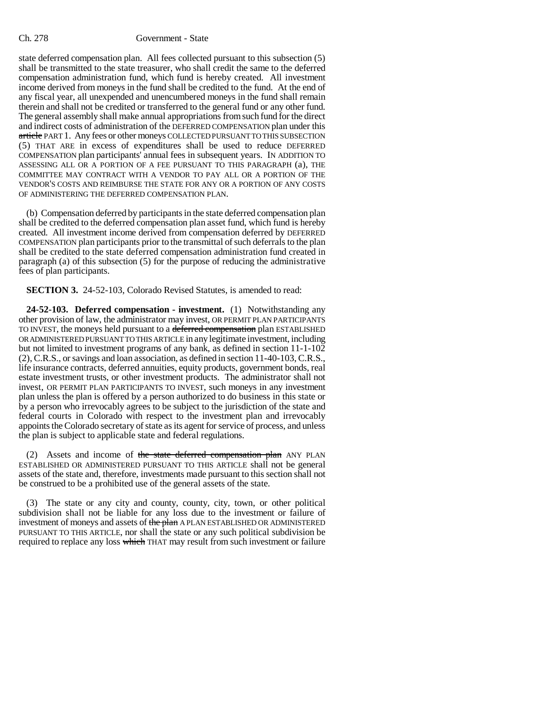#### Ch. 278 Government - State

state deferred compensation plan. All fees collected pursuant to this subsection (5) shall be transmitted to the state treasurer, who shall credit the same to the deferred compensation administration fund, which fund is hereby created. All investment income derived from moneys in the fund shall be credited to the fund. At the end of any fiscal year, all unexpended and unencumbered moneys in the fund shall remain therein and shall not be credited or transferred to the general fund or any other fund. The general assembly shall make annual appropriations from such fund for the direct and indirect costs of administration of the DEFERRED COMPENSATION plan under this article PART 1. Any fees or other moneys COLLECTED PURSUANT TO THIS SUBSECTION (5) THAT ARE in excess of expenditures shall be used to reduce DEFERRED COMPENSATION plan participants' annual fees in subsequent years. IN ADDITION TO ASSESSING ALL OR A PORTION OF A FEE PURSUANT TO THIS PARAGRAPH (a), THE COMMITTEE MAY CONTRACT WITH A VENDOR TO PAY ALL OR A PORTION OF THE VENDOR'S COSTS AND REIMBURSE THE STATE FOR ANY OR A PORTION OF ANY COSTS OF ADMINISTERING THE DEFERRED COMPENSATION PLAN.

(b) Compensation deferred by participants in the state deferred compensation plan shall be credited to the deferred compensation plan asset fund, which fund is hereby created. All investment income derived from compensation deferred by DEFERRED COMPENSATION plan participants prior to the transmittal of such deferrals to the plan shall be credited to the state deferred compensation administration fund created in paragraph (a) of this subsection (5) for the purpose of reducing the administrative fees of plan participants.

**SECTION 3.** 24-52-103, Colorado Revised Statutes, is amended to read:

**24-52-103. Deferred compensation - investment.** (1) Notwithstanding any other provision of law, the administrator may invest, OR PERMIT PLAN PARTICIPANTS TO INVEST, the moneys held pursuant to a deferred compensation plan ESTABLISHED OR ADMINISTERED PURSUANT TO THIS ARTICLE in any legitimate investment, including but not limited to investment programs of any bank, as defined in section 11-1-102 (2), C.R.S., or savings and loan association, as defined in section 11-40-103, C.R.S., life insurance contracts, deferred annuities, equity products, government bonds, real estate investment trusts, or other investment products. The administrator shall not invest, OR PERMIT PLAN PARTICIPANTS TO INVEST, such moneys in any investment plan unless the plan is offered by a person authorized to do business in this state or by a person who irrevocably agrees to be subject to the jurisdiction of the state and federal courts in Colorado with respect to the investment plan and irrevocably appoints the Colorado secretary of state as its agent for service of process, and unless the plan is subject to applicable state and federal regulations.

(2) Assets and income of the state deferred compensation plan ANY PLAN ESTABLISHED OR ADMINISTERED PURSUANT TO THIS ARTICLE shall not be general assets of the state and, therefore, investments made pursuant to this section shall not be construed to be a prohibited use of the general assets of the state.

(3) The state or any city and county, county, city, town, or other political subdivision shall not be liable for any loss due to the investment or failure of investment of moneys and assets of the plan A PLAN ESTABLISHED OR ADMINISTERED PURSUANT TO THIS ARTICLE, nor shall the state or any such political subdivision be required to replace any loss which THAT may result from such investment or failure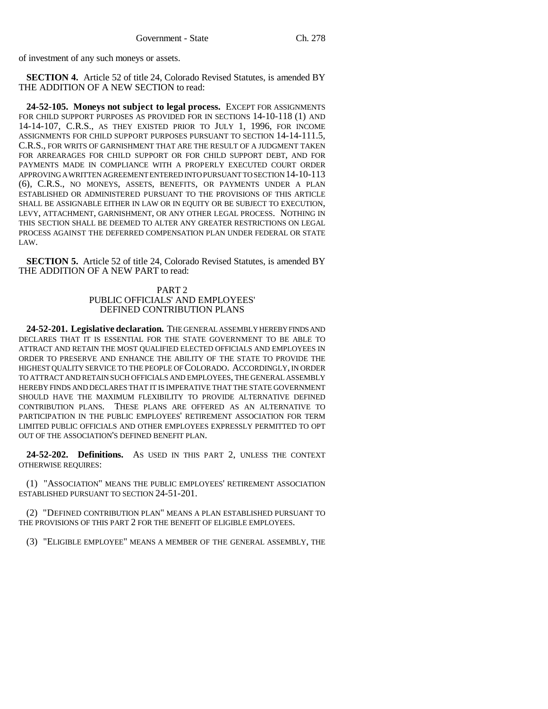of investment of any such moneys or assets.

**SECTION 4.** Article 52 of title 24, Colorado Revised Statutes, is amended BY THE ADDITION OF A NEW SECTION to read:

**24-52-105. Moneys not subject to legal process.** EXCEPT FOR ASSIGNMENTS FOR CHILD SUPPORT PURPOSES AS PROVIDED FOR IN SECTIONS 14-10-118 (1) AND 14-14-107, C.R.S., AS THEY EXISTED PRIOR TO JULY 1, 1996, FOR INCOME ASSIGNMENTS FOR CHILD SUPPORT PURPOSES PURSUANT TO SECTION 14-14-111.5, C.R.S., FOR WRITS OF GARNISHMENT THAT ARE THE RESULT OF A JUDGMENT TAKEN FOR ARREARAGES FOR CHILD SUPPORT OR FOR CHILD SUPPORT DEBT, AND FOR PAYMENTS MADE IN COMPLIANCE WITH A PROPERLY EXECUTED COURT ORDER APPROVING A WRITTEN AGREEMENT ENTERED INTO PURSUANT TO SECTION 14-10-113 (6), C.R.S., NO MONEYS, ASSETS, BENEFITS, OR PAYMENTS UNDER A PLAN ESTABLISHED OR ADMINISTERED PURSUANT TO THE PROVISIONS OF THIS ARTICLE SHALL BE ASSIGNABLE EITHER IN LAW OR IN EQUITY OR BE SUBJECT TO EXECUTION, LEVY, ATTACHMENT, GARNISHMENT, OR ANY OTHER LEGAL PROCESS. NOTHING IN THIS SECTION SHALL BE DEEMED TO ALTER ANY GREATER RESTRICTIONS ON LEGAL PROCESS AGAINST THE DEFERRED COMPENSATION PLAN UNDER FEDERAL OR STATE LAW.

**SECTION 5.** Article 52 of title 24, Colorado Revised Statutes, is amended BY THE ADDITION OF A NEW PART to read:

### PART 2 PUBLIC OFFICIALS' AND EMPLOYEES' DEFINED CONTRIBUTION PLANS

**24-52-201. Legislative declaration.** THE GENERAL ASSEMBLY HEREBY FINDS AND DECLARES THAT IT IS ESSENTIAL FOR THE STATE GOVERNMENT TO BE ABLE TO ATTRACT AND RETAIN THE MOST QUALIFIED ELECTED OFFICIALS AND EMPLOYEES IN ORDER TO PRESERVE AND ENHANCE THE ABILITY OF THE STATE TO PROVIDE THE HIGHEST QUALITY SERVICE TO THE PEOPLE OF COLORADO. ACCORDINGLY, IN ORDER TO ATTRACT AND RETAIN SUCH OFFICIALS AND EMPLOYEES, THE GENERAL ASSEMBLY HEREBY FINDS AND DECLARES THAT IT IS IMPERATIVE THAT THE STATE GOVERNMENT SHOULD HAVE THE MAXIMUM FLEXIBILITY TO PROVIDE ALTERNATIVE DEFINED CONTRIBUTION PLANS. THESE PLANS ARE OFFERED AS AN ALTERNATIVE TO PARTICIPATION IN THE PUBLIC EMPLOYEES' RETIREMENT ASSOCIATION FOR TERM LIMITED PUBLIC OFFICIALS AND OTHER EMPLOYEES EXPRESSLY PERMITTED TO OPT OUT OF THE ASSOCIATION'S DEFINED BENEFIT PLAN.

**24-52-202. Definitions.** AS USED IN THIS PART 2, UNLESS THE CONTEXT OTHERWISE REQUIRES:

(1) "ASSOCIATION" MEANS THE PUBLIC EMPLOYEES' RETIREMENT ASSOCIATION ESTABLISHED PURSUANT TO SECTION 24-51-201.

(2) "DEFINED CONTRIBUTION PLAN" MEANS A PLAN ESTABLISHED PURSUANT TO THE PROVISIONS OF THIS PART 2 FOR THE BENEFIT OF ELIGIBLE EMPLOYEES.

(3) "ELIGIBLE EMPLOYEE" MEANS A MEMBER OF THE GENERAL ASSEMBLY, THE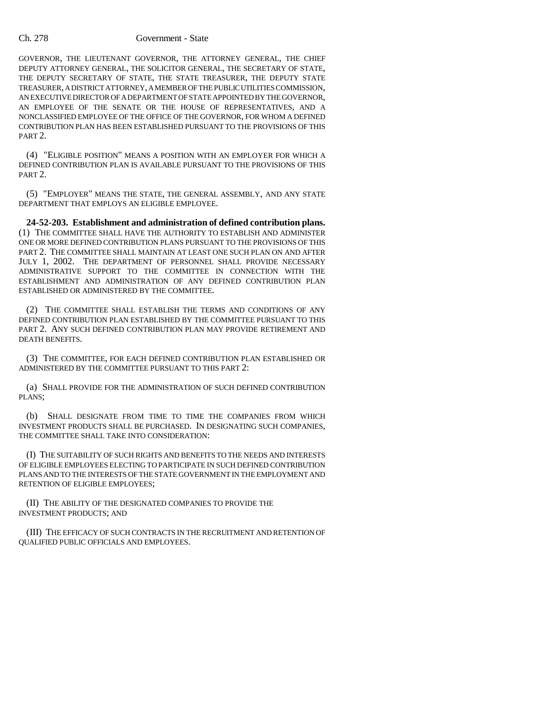#### Ch. 278 Government - State

GOVERNOR, THE LIEUTENANT GOVERNOR, THE ATTORNEY GENERAL, THE CHIEF DEPUTY ATTORNEY GENERAL, THE SOLICITOR GENERAL, THE SECRETARY OF STATE, THE DEPUTY SECRETARY OF STATE, THE STATE TREASURER, THE DEPUTY STATE TREASURER, A DISTRICT ATTORNEY, A MEMBER OF THE PUBLIC UTILITIES COMMISSION, AN EXECUTIVE DIRECTOR OF A DEPARTMENT OF STATE APPOINTED BY THE GOVERNOR, AN EMPLOYEE OF THE SENATE OR THE HOUSE OF REPRESENTATIVES, AND A NONCLASSIFIED EMPLOYEE OF THE OFFICE OF THE GOVERNOR, FOR WHOM A DEFINED CONTRIBUTION PLAN HAS BEEN ESTABLISHED PURSUANT TO THE PROVISIONS OF THIS PART 2.

(4) "ELIGIBLE POSITION" MEANS A POSITION WITH AN EMPLOYER FOR WHICH A DEFINED CONTRIBUTION PLAN IS AVAILABLE PURSUANT TO THE PROVISIONS OF THIS PART 2.

(5) "EMPLOYER" MEANS THE STATE, THE GENERAL ASSEMBLY, AND ANY STATE DEPARTMENT THAT EMPLOYS AN ELIGIBLE EMPLOYEE.

**24-52-203. Establishment and administration of defined contribution plans.** (1) THE COMMITTEE SHALL HAVE THE AUTHORITY TO ESTABLISH AND ADMINISTER ONE OR MORE DEFINED CONTRIBUTION PLANS PURSUANT TO THE PROVISIONS OF THIS PART 2. THE COMMITTEE SHALL MAINTAIN AT LEAST ONE SUCH PLAN ON AND AFTER JULY 1, 2002. THE DEPARTMENT OF PERSONNEL SHALL PROVIDE NECESSARY ADMINISTRATIVE SUPPORT TO THE COMMITTEE IN CONNECTION WITH THE ESTABLISHMENT AND ADMINISTRATION OF ANY DEFINED CONTRIBUTION PLAN ESTABLISHED OR ADMINISTERED BY THE COMMITTEE.

(2) THE COMMITTEE SHALL ESTABLISH THE TERMS AND CONDITIONS OF ANY DEFINED CONTRIBUTION PLAN ESTABLISHED BY THE COMMITTEE PURSUANT TO THIS PART 2. ANY SUCH DEFINED CONTRIBUTION PLAN MAY PROVIDE RETIREMENT AND DEATH BENEFITS.

(3) THE COMMITTEE, FOR EACH DEFINED CONTRIBUTION PLAN ESTABLISHED OR ADMINISTERED BY THE COMMITTEE PURSUANT TO THIS PART 2:

(a) SHALL PROVIDE FOR THE ADMINISTRATION OF SUCH DEFINED CONTRIBUTION PLANS;

(b) SHALL DESIGNATE FROM TIME TO TIME THE COMPANIES FROM WHICH INVESTMENT PRODUCTS SHALL BE PURCHASED. IN DESIGNATING SUCH COMPANIES, THE COMMITTEE SHALL TAKE INTO CONSIDERATION:

(I) THE SUITABILITY OF SUCH RIGHTS AND BENEFITS TO THE NEEDS AND INTERESTS OF ELIGIBLE EMPLOYEES ELECTING TO PARTICIPATE IN SUCH DEFINED CONTRIBUTION PLANS AND TO THE INTERESTS OF THE STATE GOVERNMENT IN THE EMPLOYMENT AND RETENTION OF ELIGIBLE EMPLOYEES;

(II) THE ABILITY OF THE DESIGNATED COMPANIES TO PROVIDE THE INVESTMENT PRODUCTS; AND

(III) THE EFFICACY OF SUCH CONTRACTS IN THE RECRUITMENT AND RETENTION OF QUALIFIED PUBLIC OFFICIALS AND EMPLOYEES.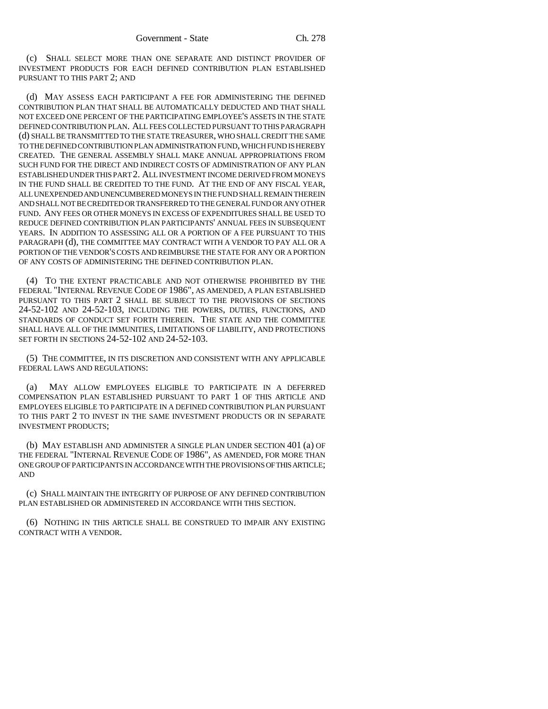(c) SHALL SELECT MORE THAN ONE SEPARATE AND DISTINCT PROVIDER OF INVESTMENT PRODUCTS FOR EACH DEFINED CONTRIBUTION PLAN ESTABLISHED PURSUANT TO THIS PART 2; AND

(d) MAY ASSESS EACH PARTICIPANT A FEE FOR ADMINISTERING THE DEFINED CONTRIBUTION PLAN THAT SHALL BE AUTOMATICALLY DEDUCTED AND THAT SHALL NOT EXCEED ONE PERCENT OF THE PARTICIPATING EMPLOYEE'S ASSETS IN THE STATE DEFINED CONTRIBUTION PLAN. ALL FEES COLLECTED PURSUANT TO THIS PARAGRAPH (d) SHALL BE TRANSMITTED TO THE STATE TREASURER, WHO SHALL CREDIT THE SAME TO THE DEFINED CONTRIBUTION PLAN ADMINISTRATION FUND, WHICH FUND IS HEREBY CREATED. THE GENERAL ASSEMBLY SHALL MAKE ANNUAL APPROPRIATIONS FROM SUCH FUND FOR THE DIRECT AND INDIRECT COSTS OF ADMINISTRATION OF ANY PLAN ESTABLISHED UNDER THIS PART 2. ALL INVESTMENT INCOME DERIVED FROM MONEYS IN THE FUND SHALL BE CREDITED TO THE FUND. AT THE END OF ANY FISCAL YEAR, ALL UNEXPENDED AND UNENCUMBERED MONEYS IN THE FUND SHALL REMAIN THEREIN AND SHALL NOT BE CREDITED OR TRANSFERRED TO THE GENERAL FUND OR ANY OTHER FUND. ANY FEES OR OTHER MONEYS IN EXCESS OF EXPENDITURES SHALL BE USED TO REDUCE DEFINED CONTRIBUTION PLAN PARTICIPANTS' ANNUAL FEES IN SUBSEQUENT YEARS. IN ADDITION TO ASSESSING ALL OR A PORTION OF A FEE PURSUANT TO THIS PARAGRAPH (d), THE COMMITTEE MAY CONTRACT WITH A VENDOR TO PAY ALL OR A PORTION OF THE VENDOR'S COSTS AND REIMBURSE THE STATE FOR ANY OR A PORTION OF ANY COSTS OF ADMINISTERING THE DEFINED CONTRIBUTION PLAN.

(4) TO THE EXTENT PRACTICABLE AND NOT OTHERWISE PROHIBITED BY THE FEDERAL "INTERNAL REVENUE CODE OF 1986", AS AMENDED, A PLAN ESTABLISHED PURSUANT TO THIS PART 2 SHALL BE SUBJECT TO THE PROVISIONS OF SECTIONS 24-52-102 AND 24-52-103, INCLUDING THE POWERS, DUTIES, FUNCTIONS, AND STANDARDS OF CONDUCT SET FORTH THEREIN. THE STATE AND THE COMMITTEE SHALL HAVE ALL OF THE IMMUNITIES, LIMITATIONS OF LIABILITY, AND PROTECTIONS SET FORTH IN SECTIONS 24-52-102 AND 24-52-103.

(5) THE COMMITTEE, IN ITS DISCRETION AND CONSISTENT WITH ANY APPLICABLE FEDERAL LAWS AND REGULATIONS:

(a) MAY ALLOW EMPLOYEES ELIGIBLE TO PARTICIPATE IN A DEFERRED COMPENSATION PLAN ESTABLISHED PURSUANT TO PART 1 OF THIS ARTICLE AND EMPLOYEES ELIGIBLE TO PARTICIPATE IN A DEFINED CONTRIBUTION PLAN PURSUANT TO THIS PART 2 TO INVEST IN THE SAME INVESTMENT PRODUCTS OR IN SEPARATE INVESTMENT PRODUCTS;

(b) MAY ESTABLISH AND ADMINISTER A SINGLE PLAN UNDER SECTION 401 (a) OF THE FEDERAL "INTERNAL REVENUE CODE OF 1986", AS AMENDED, FOR MORE THAN ONE GROUP OF PARTICIPANTS IN ACCORDANCE WITH THE PROVISIONS OF THIS ARTICLE; AND

(c) SHALL MAINTAIN THE INTEGRITY OF PURPOSE OF ANY DEFINED CONTRIBUTION PLAN ESTABLISHED OR ADMINISTERED IN ACCORDANCE WITH THIS SECTION.

(6) NOTHING IN THIS ARTICLE SHALL BE CONSTRUED TO IMPAIR ANY EXISTING CONTRACT WITH A VENDOR.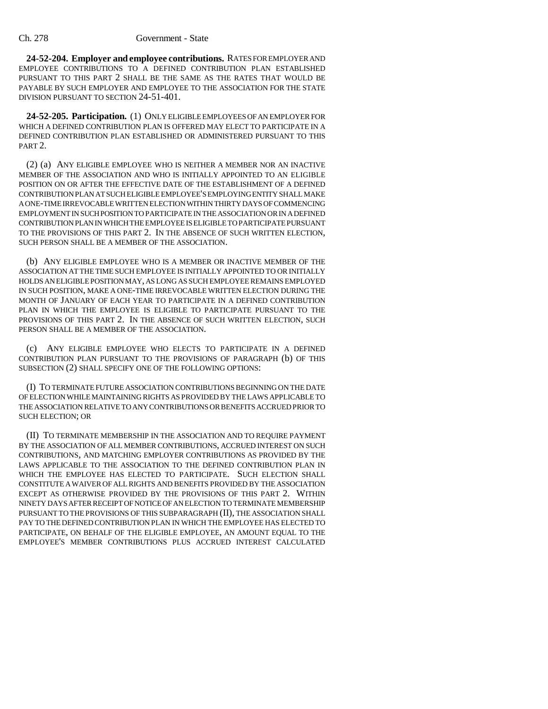**24-52-204. Employer and employee contributions.** RATES FOR EMPLOYER AND EMPLOYEE CONTRIBUTIONS TO A DEFINED CONTRIBUTION PLAN ESTABLISHED PURSUANT TO THIS PART 2 SHALL BE THE SAME AS THE RATES THAT WOULD BE PAYABLE BY SUCH EMPLOYER AND EMPLOYEE TO THE ASSOCIATION FOR THE STATE DIVISION PURSUANT TO SECTION 24-51-401.

**24-52-205. Participation.** (1) ONLY ELIGIBLE EMPLOYEES OF AN EMPLOYER FOR WHICH A DEFINED CONTRIBUTION PLAN IS OFFERED MAY ELECT TO PARTICIPATE IN A DEFINED CONTRIBUTION PLAN ESTABLISHED OR ADMINISTERED PURSUANT TO THIS PART 2.

(2) (a) ANY ELIGIBLE EMPLOYEE WHO IS NEITHER A MEMBER NOR AN INACTIVE MEMBER OF THE ASSOCIATION AND WHO IS INITIALLY APPOINTED TO AN ELIGIBLE POSITION ON OR AFTER THE EFFECTIVE DATE OF THE ESTABLISHMENT OF A DEFINED CONTRIBUTION PLAN AT SUCH ELIGIBLE EMPLOYEE'S EMPLOYING ENTITY SHALL MAKE A ONE-TIME IRREVOCABLE WRITTEN ELECTION WITHIN THIRTY DAYS OF COMMENCING EMPLOYMENT IN SUCH POSITION TO PARTICIPATE IN THE ASSOCIATION OR IN A DEFINED CONTRIBUTION PLAN IN WHICH THE EMPLOYEE IS ELIGIBLE TO PARTICIPATE PURSUANT TO THE PROVISIONS OF THIS PART 2. IN THE ABSENCE OF SUCH WRITTEN ELECTION, SUCH PERSON SHALL BE A MEMBER OF THE ASSOCIATION.

(b) ANY ELIGIBLE EMPLOYEE WHO IS A MEMBER OR INACTIVE MEMBER OF THE ASSOCIATION AT THE TIME SUCH EMPLOYEE IS INITIALLY APPOINTED TO OR INITIALLY HOLDS AN ELIGIBLE POSITION MAY, AS LONG AS SUCH EMPLOYEE REMAINS EMPLOYED IN SUCH POSITION, MAKE A ONE-TIME IRREVOCABLE WRITTEN ELECTION DURING THE MONTH OF JANUARY OF EACH YEAR TO PARTICIPATE IN A DEFINED CONTRIBUTION PLAN IN WHICH THE EMPLOYEE IS ELIGIBLE TO PARTICIPATE PURSUANT TO THE PROVISIONS OF THIS PART 2. IN THE ABSENCE OF SUCH WRITTEN ELECTION, SUCH PERSON SHALL BE A MEMBER OF THE ASSOCIATION.

(c) ANY ELIGIBLE EMPLOYEE WHO ELECTS TO PARTICIPATE IN A DEFINED CONTRIBUTION PLAN PURSUANT TO THE PROVISIONS OF PARAGRAPH (b) OF THIS SUBSECTION (2) SHALL SPECIFY ONE OF THE FOLLOWING OPTIONS:

(I) TO TERMINATE FUTURE ASSOCIATION CONTRIBUTIONS BEGINNING ON THE DATE OF ELECTION WHILE MAINTAINING RIGHTS AS PROVIDED BY THE LAWS APPLICABLE TO THE ASSOCIATION RELATIVE TO ANY CONTRIBUTIONS OR BENEFITS ACCRUED PRIOR TO SUCH ELECTION; OR

(II) TO TERMINATE MEMBERSHIP IN THE ASSOCIATION AND TO REQUIRE PAYMENT BY THE ASSOCIATION OF ALL MEMBER CONTRIBUTIONS, ACCRUED INTEREST ON SUCH CONTRIBUTIONS, AND MATCHING EMPLOYER CONTRIBUTIONS AS PROVIDED BY THE LAWS APPLICABLE TO THE ASSOCIATION TO THE DEFINED CONTRIBUTION PLAN IN WHICH THE EMPLOYEE HAS ELECTED TO PARTICIPATE. SUCH ELECTION SHALL CONSTITUTE A WAIVER OF ALL RIGHTS AND BENEFITS PROVIDED BY THE ASSOCIATION EXCEPT AS OTHERWISE PROVIDED BY THE PROVISIONS OF THIS PART 2. WITHIN NINETY DAYS AFTER RECEIPT OF NOTICE OF AN ELECTION TO TERMINATE MEMBERSHIP PURSUANT TO THE PROVISIONS OF THIS SUBPARAGRAPH (II), THE ASSOCIATION SHALL PAY TO THE DEFINED CONTRIBUTION PLAN IN WHICH THE EMPLOYEE HAS ELECTED TO PARTICIPATE, ON BEHALF OF THE ELIGIBLE EMPLOYEE, AN AMOUNT EQUAL TO THE EMPLOYEE'S MEMBER CONTRIBUTIONS PLUS ACCRUED INTEREST CALCULATED